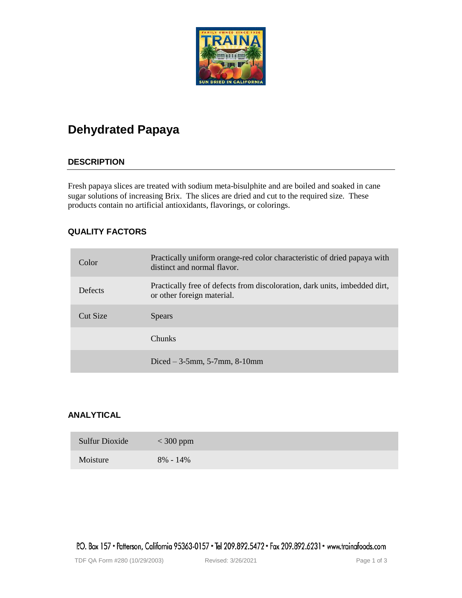

# **Dehydrated Papaya**

# **DESCRIPTION**

Fresh papaya slices are treated with sodium meta-bisulphite and are boiled and soaked in cane sugar solutions of increasing Brix. The slices are dried and cut to the required size. These products contain no artificial antioxidants, flavorings, or colorings.

# **QUALITY FACTORS**

| Color    | Practically uniform orange-red color characteristic of dried papaya with<br>distinct and normal flavor.  |
|----------|----------------------------------------------------------------------------------------------------------|
| Defects  | Practically free of defects from discoloration, dark units, imbedded dirt,<br>or other foreign material. |
| Cut Size | <b>Spears</b>                                                                                            |
|          | <b>Chunks</b>                                                                                            |
|          | Diced $-3$ -5mm, 5-7mm, 8-10mm                                                                           |

# **ANALYTICAL**

| Sulfur Dioxide | $<$ 300 ppm  |
|----------------|--------------|
| Moisture       | $8\% - 14\%$ |

P.O. Box 157 • Patterson, California 95363-0157 • Tel 209.892.5472 • Fax 209.892.6231 • www.trainafoods.com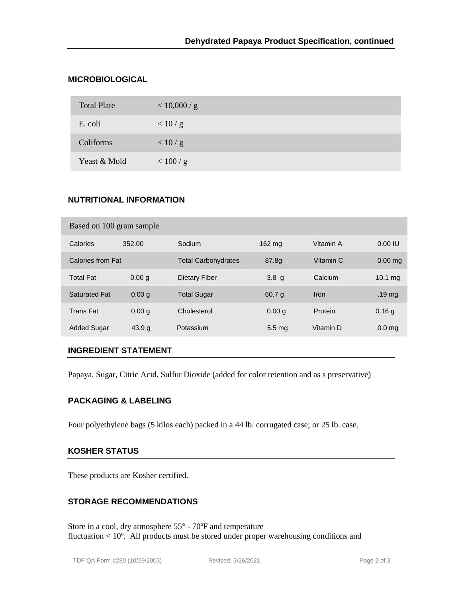# **MICROBIOLOGICAL**

| <b>Total Plate</b> | < 10,000 / g |
|--------------------|--------------|
| E. coli            | < 10/g       |
| Coliforms          | < 10/g       |
| Yeast & Mold       | < 100/g      |

# **NUTRITIONAL INFORMATION**

| Based on 100 gram sample |                   |                            |                   |             |                   |  |  |  |
|--------------------------|-------------------|----------------------------|-------------------|-------------|-------------------|--|--|--|
| Calories                 | 352.00            | Sodium                     | 162 mg            | Vitamin A   | 0.00 IU           |  |  |  |
| Calories from Fat        |                   | <b>Total Carbohydrates</b> | 87.8g             | Vitamin C   | $0.00$ mg         |  |  |  |
| <b>Total Fat</b>         | 0.00 <sub>q</sub> | Dietary Fiber              | 3.8 <sub>g</sub>  | Calcium     | 10.1 mg           |  |  |  |
| <b>Saturated Fat</b>     | 0.00 g            | <b>Total Sugar</b>         | 60.7 g            | <b>Iron</b> | .19 <sub>mg</sub> |  |  |  |
| <b>Trans Fat</b>         | 0.00 g            | Cholesterol                | 0.00 <sub>q</sub> | Protein     | 0.16q             |  |  |  |
| <b>Added Sugar</b>       | 43.9 g            | Potassium                  | 5.5 <sub>mg</sub> | Vitamin D   | 0.0 <sub>ma</sub> |  |  |  |

### **INGREDIENT STATEMENT**

Papaya, Sugar, Citric Acid, Sulfur Dioxide (added for color retention and as s preservative)

#### **PACKAGING & LABELING**

Four polyethylene bags (5 kilos each) packed in a 44 lb. corrugated case; or 25 lb. case.

#### **KOSHER STATUS**

These products are Kosher certified.

# **STORAGE RECOMMENDATIONS**

Store in a cool, dry atmosphere 55° - 70°F and temperature fluctuation < 10º. All products must be stored under proper warehousing conditions and